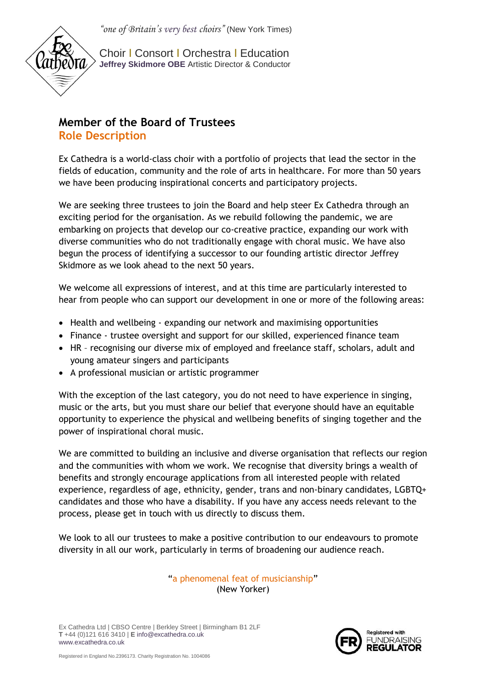

Choir І Consort І Orchestra І Education **Jeffrey Skidmore OBE** Artistic Director & Conductor

# **Member of the Board of Trustees Role Description**

Ex Cathedra is a world-class choir with a portfolio of projects that lead the sector in the fields of education, community and the role of arts in healthcare. For more than 50 years we have been producing inspirational concerts and participatory projects.

We are seeking three trustees to join the Board and help steer Ex Cathedra through an exciting period for the organisation. As we rebuild following the pandemic, we are embarking on projects that develop our co-creative practice, expanding our work with diverse communities who do not traditionally engage with choral music. We have also begun the process of identifying a successor to our founding artistic director Jeffrey Skidmore as we look ahead to the next 50 years.

We welcome all expressions of interest, and at this time are particularly interested to hear from people who can support our development in one or more of the following areas:

- Health and wellbeing expanding our network and maximising opportunities
- Finance trustee oversight and support for our skilled, experienced finance team
- HR recognising our diverse mix of employed and freelance staff, scholars, adult and young amateur singers and participants
- A professional musician or artistic programmer

With the exception of the last category, you do not need to have experience in singing, music or the arts, but you must share our belief that everyone should have an equitable opportunity to experience the physical and wellbeing benefits of singing together and the power of inspirational choral music.

We are committed to building an inclusive and diverse organisation that reflects our region and the communities with whom we work. We recognise that diversity brings a wealth of benefits and strongly encourage applications from all interested people with related experience, regardless of age, ethnicity, gender, trans and non-binary candidates, LGBTQ+ candidates and those who have a disability. If you have any access needs relevant to the process, please get in touch with us directly to discuss them.

We look to all our trustees to make a positive contribution to our endeavours to promote diversity in all our work, particularly in terms of broadening our audience reach.

> "a phenomenal feat of musicianship" (New Yorker)

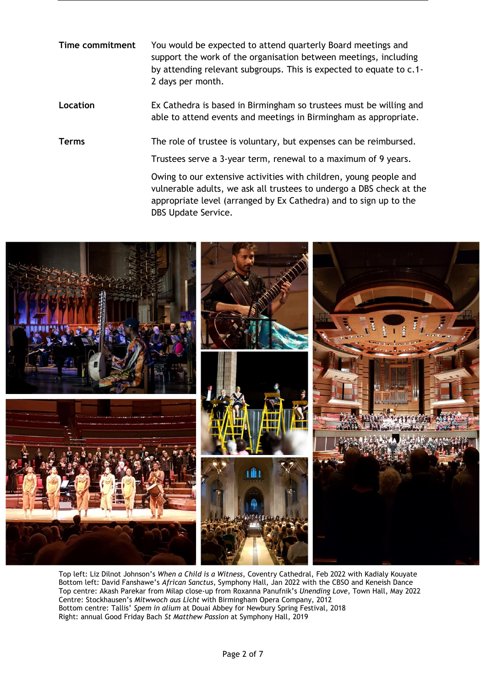**Time commitment** You would be expected to attend quarterly Board meetings and support the work of the organisation between meetings, including by attending relevant subgroups. This is expected to equate to c.1- 2 days per month.

**Location** Ex Cathedra is based in Birmingham so trustees must be willing and able to attend events and meetings in Birmingham as appropriate.

**Terms** The role of trustee is voluntary, but expenses can be reimbursed.

Trustees serve a 3-year term, renewal to a maximum of 9 years.

Owing to our extensive activities with children, young people and vulnerable adults, we ask all trustees to undergo a DBS check at the appropriate level (arranged by Ex Cathedra) and to sign up to the DBS Update Service.



Top left: Liz Dilnot Johnson's *When a Child is a Witness*, Coventry Cathedral, Feb 2022 with Kadialy Kouyate Bottom left: David Fanshawe's *African Sanctus*, Symphony Hall, Jan 2022 with the CBSO and Keneish Dance Top centre: Akash Parekar from Milap close-up from Roxanna Panufnik's *Unending Love*, Town Hall, May 2022 Centre: Stockhausen's *Mitwwoch aus Licht* with Birmingham Opera Company, 2012 Bottom centre: Tallis' *Spem in alium* at Douai Abbey for Newbury Spring Festival, 2018 Right: annual Good Friday Bach *St Matthew Passion* at Symphony Hall, 2019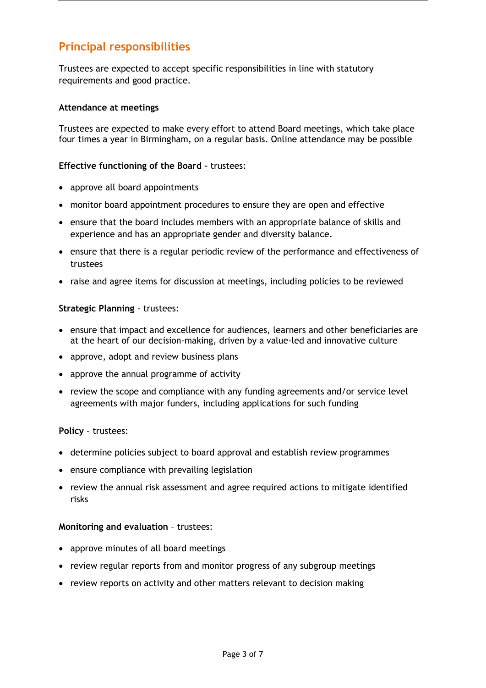# **Principal responsibilities**

Trustees are expected to accept specific responsibilities in line with statutory requirements and good practice.

### **Attendance at meetings**

Trustees are expected to make every effort to attend Board meetings, which take place four times a year in Birmingham, on a regular basis. Online attendance may be possible

#### **Effective functioning of the Board –** trustees:

- approve all board appointments
- monitor board appointment procedures to ensure they are open and effective
- ensure that the board includes members with an appropriate balance of skills and experience and has an appropriate gender and diversity balance.
- ensure that there is a regular periodic review of the performance and effectiveness of trustees
- raise and agree items for discussion at meetings, including policies to be reviewed

### **Strategic Planning** - trustees:

- ensure that impact and excellence for audiences, learners and other beneficiaries are at the heart of our decision-making, driven by a value-led and innovative culture
- approve, adopt and review business plans
- approve the annual programme of activity
- review the scope and compliance with any funding agreements and/or service level agreements with major funders, including applications for such funding

#### **Policy** – trustees:

- determine policies subject to board approval and establish review programmes
- ensure compliance with prevailing legislation
- review the annual risk assessment and agree required actions to mitigate identified risks

#### **Monitoring and evaluation** – trustees:

- approve minutes of all board meetings
- review regular reports from and monitor progress of any subgroup meetings
- review reports on activity and other matters relevant to decision making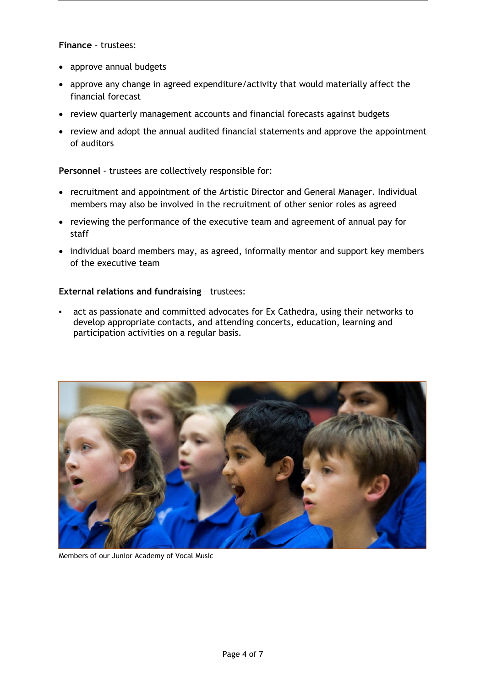**Finance** – trustees:

- approve annual budgets
- approve any change in agreed expenditure/activity that would materially affect the financial forecast
- review quarterly management accounts and financial forecasts against budgets
- review and adopt the annual audited financial statements and approve the appointment of auditors

**Personnel** - trustees are collectively responsible for:

- recruitment and appointment of the Artistic Director and General Manager. Individual members may also be involved in the recruitment of other senior roles as agreed
- reviewing the performance of the executive team and agreement of annual pay for staff
- individual board members may, as agreed, informally mentor and support key members of the executive team

### **External relations and fundraising** – trustees:

 act as passionate and committed advocates for Ex Cathedra, using their networks to develop appropriate contacts, and attending concerts, education, learning and participation activities on a regular basis.



Members of our Junior Academy of Vocal Music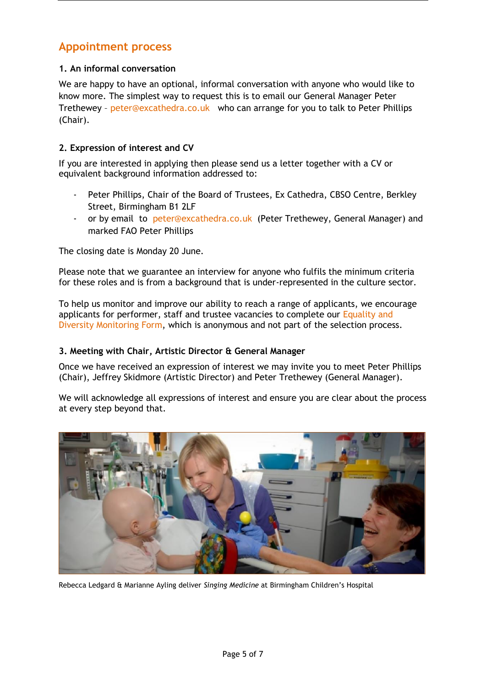# **Appointment process**

## **1. An informal conversation**

We are happy to have an optional, informal conversation with anyone who would like to know more. The simplest way to request this is to email our General Manager Peter Trethewey - [peter@excathedra.co.uk](mailto:peter@excathedra.co.uk) who can arrange for you to talk to Peter Phillips (Chair).

## **2. Expression of interest and CV**

If you are interested in applying then please send us a letter together with a CV or equivalent background information addressed to:

- Peter Phillips, Chair of the Board of Trustees, Ex Cathedra, CBSO Centre, Berkley Street, Birmingham B1 2LF
- or by email to [peter@excathedra.co.uk](mailto:peter@excathedra.co.uk) (Peter Trethewey, General Manager) and marked FAO Peter Phillips

The closing date is Monday 20 June.

Please note that we guarantee an interview for anyone who fulfils the minimum criteria for these roles and is from a background that is under-represented in the culture sector.

To help us monitor and improve our ability to reach a range of applicants, we encourage applicants for performer, staff and trustee vacancies to complete our Equality and [Diversity Monitoring Form,](https://forms.gle/cXqmyaJPF6RQhCFa6) which is anonymous and not part of the selection process.

#### **3. Meeting with Chair, Artistic Director & General Manager**

Once we have received an expression of interest we may invite you to meet Peter Phillips (Chair), Jeffrey Skidmore (Artistic Director) and Peter Trethewey (General Manager).

We will acknowledge all expressions of interest and ensure you are clear about the process at every step beyond that.



Rebecca Ledgard & Marianne Ayling deliver *Singing Medicine* at Birmingham Children's Hospital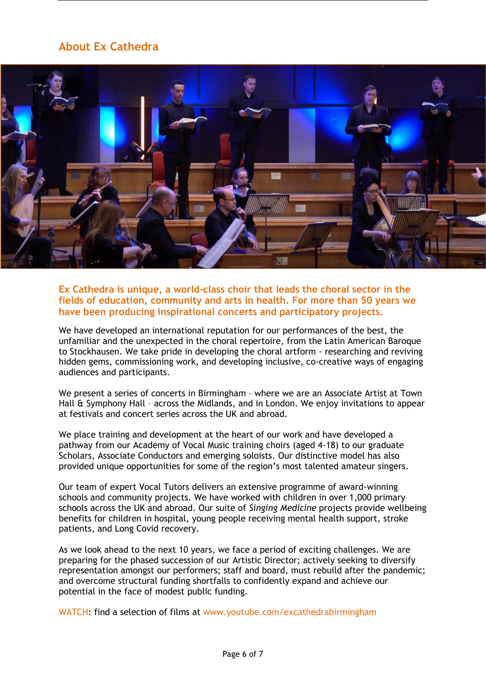# **About Ex Cathedra**



**Ex Cathedra is unique, a world-class choir that leads the choral sector in the fields of education, community and arts in health. For more than 50 years we have been producing inspirational concerts and participatory projects.** 

We have developed an international reputation for our performances of the best, the unfamiliar and the unexpected in the choral repertoire, from the Latin American Baroque to Stockhausen. We take pride in developing the choral artform - researching and reviving hidden gems, commissioning work, and developing inclusive, co-creative ways of engaging audiences and participants.

We present a series of concerts in Birmingham – where we are an Associate Artist at Town Hall & Symphony Hall – across the Midlands, and in London. We enjoy invitations to appear at festivals and concert series across the UK and abroad.

We place training and development at the heart of our work and have developed a pathway from our Academy of Vocal Music training choirs (aged 4-18) to our graduate Scholars, Associate Conductors and emerging soloists. Our distinctive model has also provided unique opportunities for some of the region's most talented amateur singers.

Our team of expert Vocal Tutors delivers an extensive programme of award-winning schools and community projects. We have worked with children in over 1,000 primary schools across the UK and abroad. Our suite of *Singing Medicine* projects provide wellbeing benefits for children in hospital, young people receiving mental health support, stroke patients, and Long Covid recovery.

As we look ahead to the next 10 years, we face a period of exciting challenges. We are preparing for the phased succession of our Artistic Director; actively seeking to diversify representation amongst our performers; staff and board, must rebuild after the pandemic; and overcome structural funding shortfalls to confidently expand and achieve our potential in the face of modest public funding.

WATCH: find a selection of films at [www.youtube.com/excathedrabirmingham](http://www.youtube.com/excathedrabirmingham)